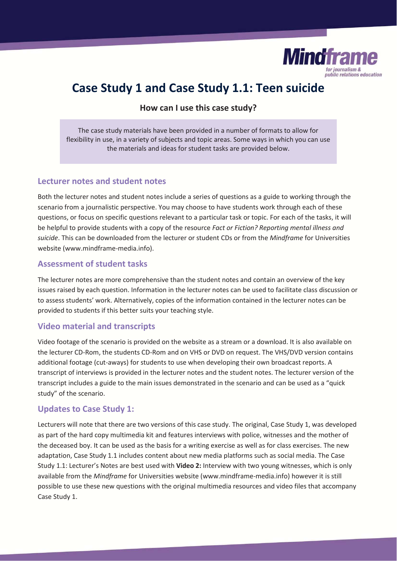

# **Case Study 1 and Case Study 1.1: Teen suicide**

**How can I use this case study?** 

The case study materials have been provided in a number of formats to allow for flexibility in use, in a variety of subjects and topic areas. Some ways in which you can use the materials and ideas for student tasks are provided below.

### **Lecturer notes and student notes**

Both the lecturer notes and student notes include a series of questions as a guide to working through the scenario from a journalistic perspective. You may choose to have students work through each of these questions, or focus on specific questions relevant to a particular task or topic. For each of the tasks, it will be helpful to provide students with a copy of the resource *Fact or Fiction? Reporting mental illness and suicide*. This can be downloaded from the lecturer or student CDs or from the *Mindframe* for Universities website (www.mindframe-media.info).

### **Assessment of student tasks**

The lecturer notes are more comprehensive than the student notes and contain an overview of the key issues raised by each question. Information in the lecturer notes can be used to facilitate class discussion or to assess students' work. Alternatively, copies of the information contained in the lecturer notes can be provided to students if this better suits your teaching style.

#### **Video material and transcripts**

Video footage of the scenario is provided on the website as a stream or a download. It is also available on the lecturer CD-Rom, the students CD-Rom and on VHS or DVD on request. The VHS/DVD version contains additional footage (cut-aways) for students to use when developing their own broadcast reports. A transcript of interviews is provided in the lecturer notes and the student notes. The lecturer version of the transcript includes a guide to the main issues demonstrated in the scenario and can be used as a "quick study" of the scenario.

## **Updates to Case Study 1:**

Lecturers will note that there are two versions of this case study. The original, Case Study 1, was developed as part of the hard copy multimedia kit and features interviews with police, witnesses and the mother of the deceased boy. It can be used as the basis for a writing exercise as well as for class exercises. The new adaptation, Case Study 1.1 includes content about new media platforms such as social media. The Case Study 1.1: Lecturer's Notes are best used with **Video 2:** Interview with two young witnesses, which is only available from the *Mindframe* for Universities website (www.mindframe-media.info) however it is still possible to use these new questions with the original multimedia resources and video files that accompany Case Study 1.